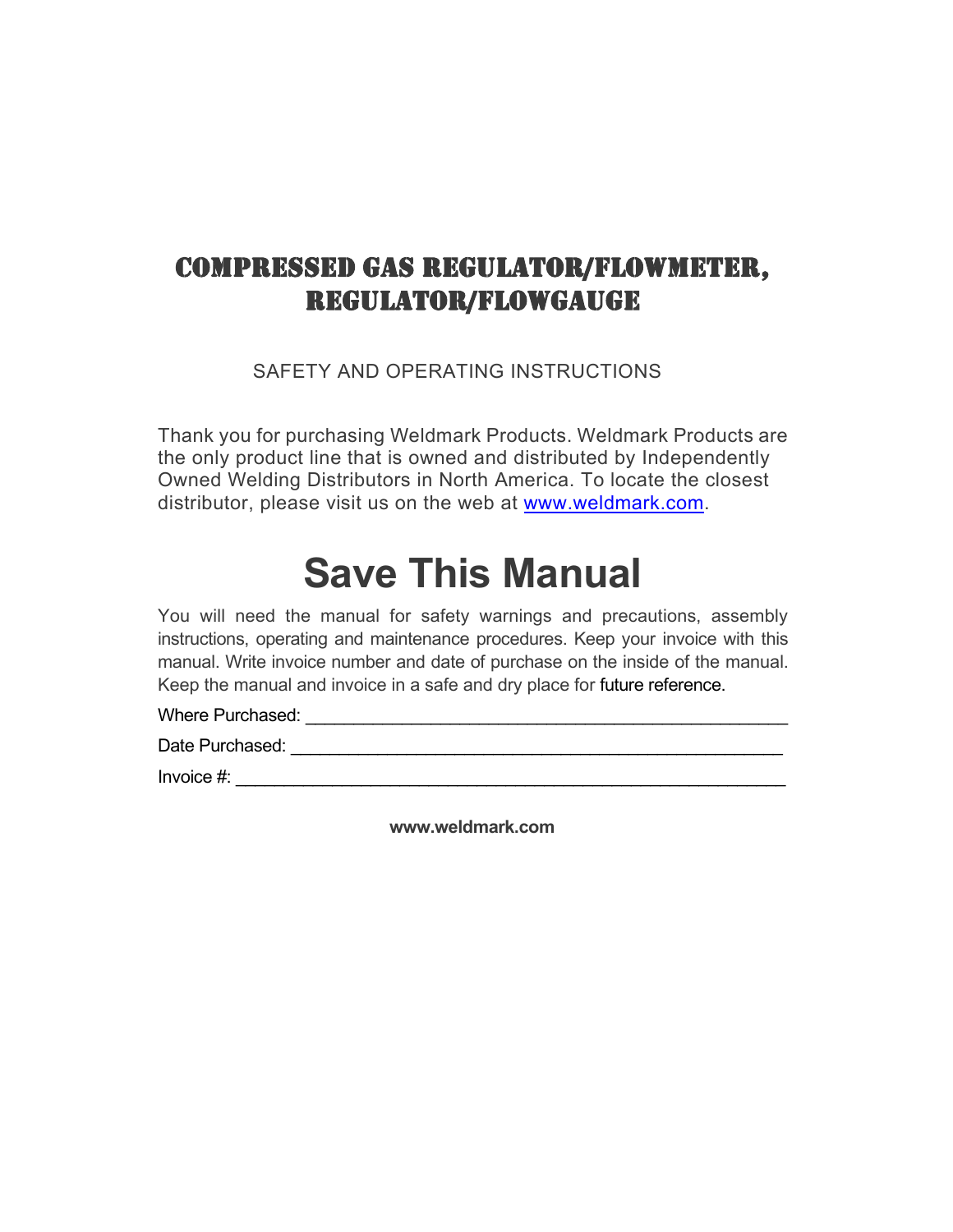## COMPRESSED GAS REGULATOR/FLOWMETER, REGULATOR/FLOWGAUGE

SAFETY AND OPERATING INSTRUCTIONS

Thank you for purchasing Weldmark Products. Weldmark Products are the only product line that is owned and distributed by Independently Owned Welding Distributors in North America. To locate the closest distributor, please visit us on the web at [www.weldmark.com.](http://www.weldmark.com/)

# **Save This Manual**

You will need the manual for safety warnings and precautions, assembly instructions, operating and maintenance procedures. Keep your invoice with this manual. Write invoice number and date of purchase on the inside of the manual. Keep the manual and invoice in a safe and dry place for future reference.

Where Purchased: \_\_\_\_\_\_\_\_\_\_\_\_\_\_\_\_\_\_\_\_\_\_\_\_\_\_\_\_\_\_\_\_\_\_\_\_\_\_\_\_\_\_\_\_\_\_\_\_\_\_

Date Purchased: \_\_\_\_\_\_\_\_\_\_\_\_\_\_\_\_\_\_\_\_\_\_\_\_\_\_\_\_\_\_\_\_\_\_\_\_\_\_\_\_\_\_\_\_\_\_\_\_\_\_\_

 $Invoice \#:$ 

**www.weldmark.com**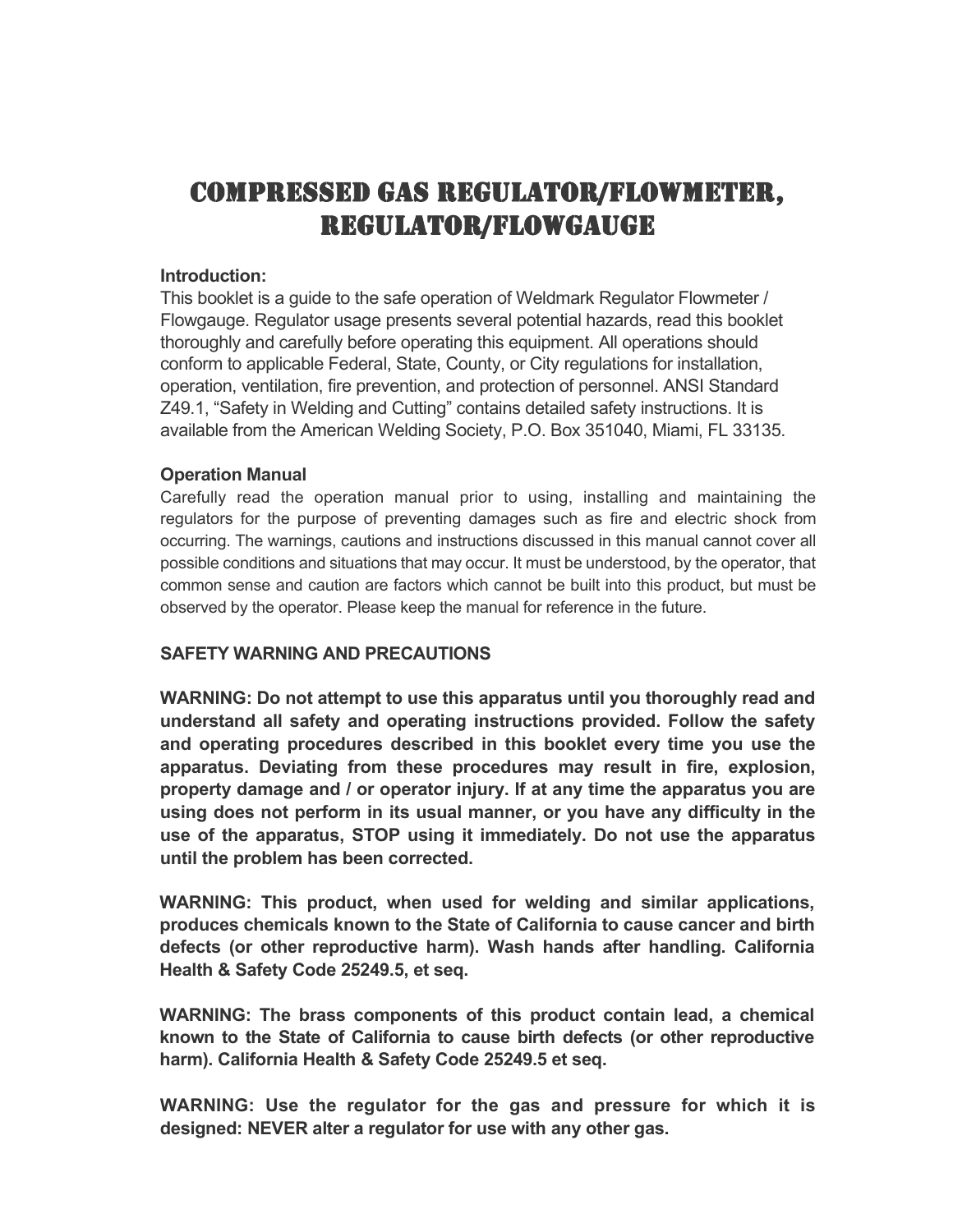## COMPRESSED GAS REGULATOR/FLOWMETER, REGULATOR/FLOWGAUGE

#### **Introduction:**

This booklet is a guide to the safe operation of Weldmark Regulator Flowmeter / Flowgauge. Regulator usage presents several potential hazards, read this booklet thoroughly and carefully before operating this equipment. All operations should conform to applicable Federal, State, County, or City regulations for installation, operation, ventilation, fire prevention, and protection of personnel. ANSI Standard Z49.1, "Safety in Welding and Cutting" contains detailed safety instructions. It is available from the American Welding Society, P.O. Box 351040, Miami, FL 33135.

#### **Operation Manual**

Carefully read the operation manual prior to using, installing and maintaining the regulators for the purpose of preventing damages such as fire and electric shock from occurring. The warnings, cautions and instructions discussed in this manual cannot cover all possible conditions and situations that may occur. It must be understood, by the operator, that common sense and caution are factors which cannot be built into this product, but must be observed by the operator. Please keep the manual for reference in the future.

#### **SAFETY WARNING AND PRECAUTIONS**

**WARNING: Do not attempt to use this apparatus until you thoroughly read and understand all safety and operating instructions provided. Follow the safety and operating procedures described in this booklet every time you use the apparatus. Deviating from these procedures may result in fire, explosion, property damage and / or operator injury. If at any time the apparatus you are using does not perform in its usual manner, or you have any difficulty in the use of the apparatus, STOP using it immediately. Do not use the apparatus until the problem has been corrected.** 

**WARNING: This product, when used for welding and similar applications, produces chemicals known to the State of California to cause cancer and birth defects (or other reproductive harm). Wash hands after handling. California Health & Safety Code 25249.5, et seq.**

**WARNING: The brass components of this product contain lead, a chemical known to the State of California to cause birth defects (or other reproductive harm). California Health & Safety Code 25249.5 et seq.**

**WARNING: Use the regulator for the gas and pressure for which it is designed: NEVER alter a regulator for use with any other gas.**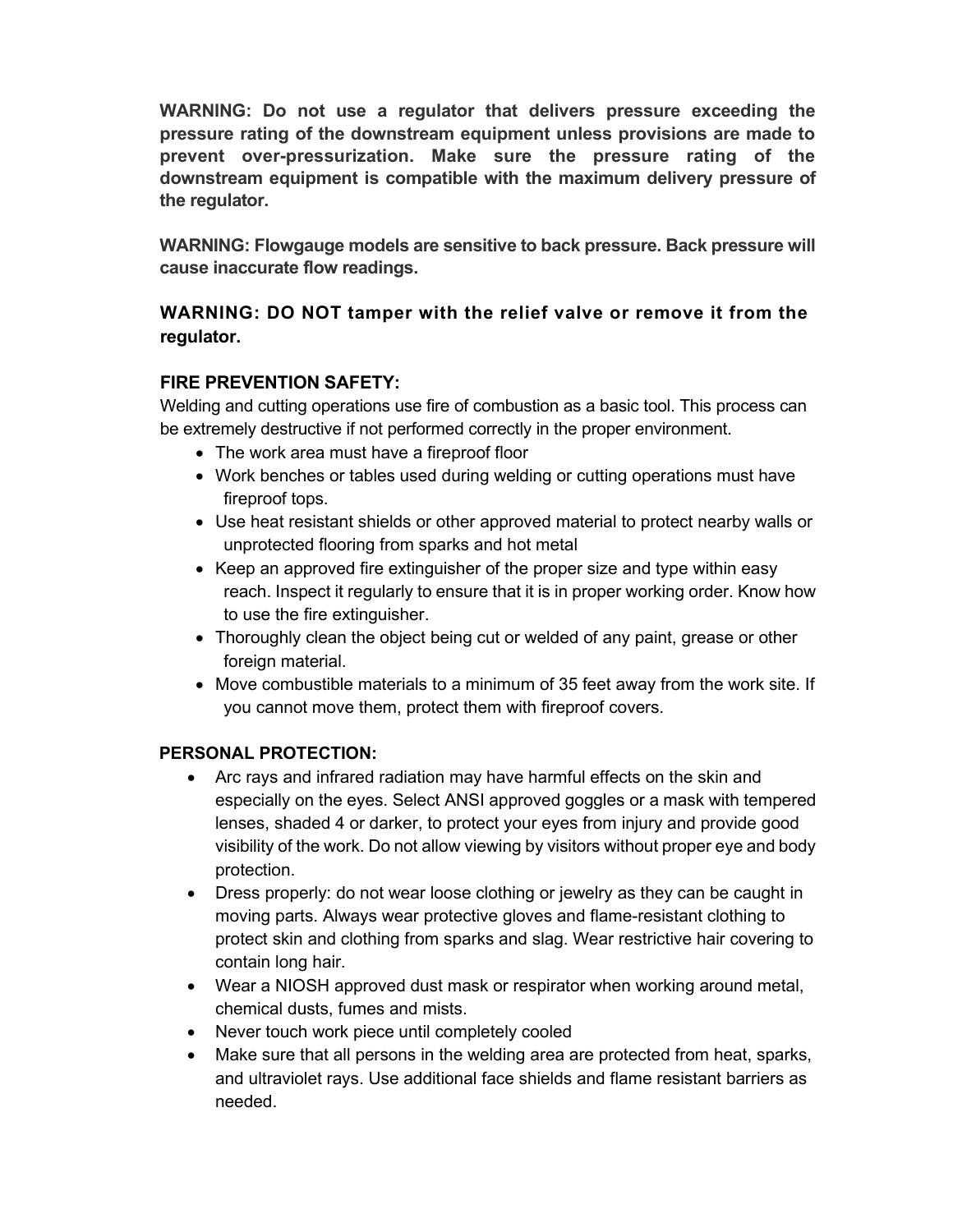**WARNING: Do not use a regulator that delivers pressure exceeding the pressure rating of the downstream equipment unless provisions are made to prevent over-pressurization. Make sure the pressure rating of the downstream equipment is compatible with the maximum delivery pressure of the regulator.**

**WARNING: Flowgauge models are sensitive to back pressure. Back pressure will cause inaccurate flow readings.** 

### **WARNING: DO NOT tamper with the relief valve or remove it from the regulator.**

### **FIRE PREVENTION SAFETY:**

Welding and cutting operations use fire of combustion as a basic tool. This process can be extremely destructive if not performed correctly in the proper environment.

- The work area must have a fireproof floor
- Work benches or tables used during welding or cutting operations must have fireproof tops.
- Use heat resistant shields or other approved material to protect nearby walls or unprotected flooring from sparks and hot metal
- Keep an approved fire extinguisher of the proper size and type within easy reach. Inspect it regularly to ensure that it is in proper working order. Know how to use the fire extinguisher.
- Thoroughly clean the object being cut or welded of any paint, grease or other foreign material.
- Move combustible materials to a minimum of 35 feet away from the work site. If you cannot move them, protect them with fireproof covers.

#### **PERSONAL PROTECTION:**

- Arc rays and infrared radiation may have harmful effects on the skin and especially on the eyes. Select ANSI approved goggles or a mask with tempered lenses, shaded 4 or darker, to protect your eyes from injury and provide good visibility of the work. Do not allow viewing by visitors without proper eye and body protection.
- Dress properly: do not wear loose clothing or jewelry as they can be caught in moving parts. Always wear protective gloves and flame-resistant clothing to protect skin and clothing from sparks and slag. Wear restrictive hair covering to contain long hair.
- Wear a NIOSH approved dust mask or respirator when working around metal, chemical dusts, fumes and mists.
- Never touch work piece until completely cooled
- Make sure that all persons in the welding area are protected from heat, sparks, and ultraviolet rays. Use additional face shields and flame resistant barriers as needed.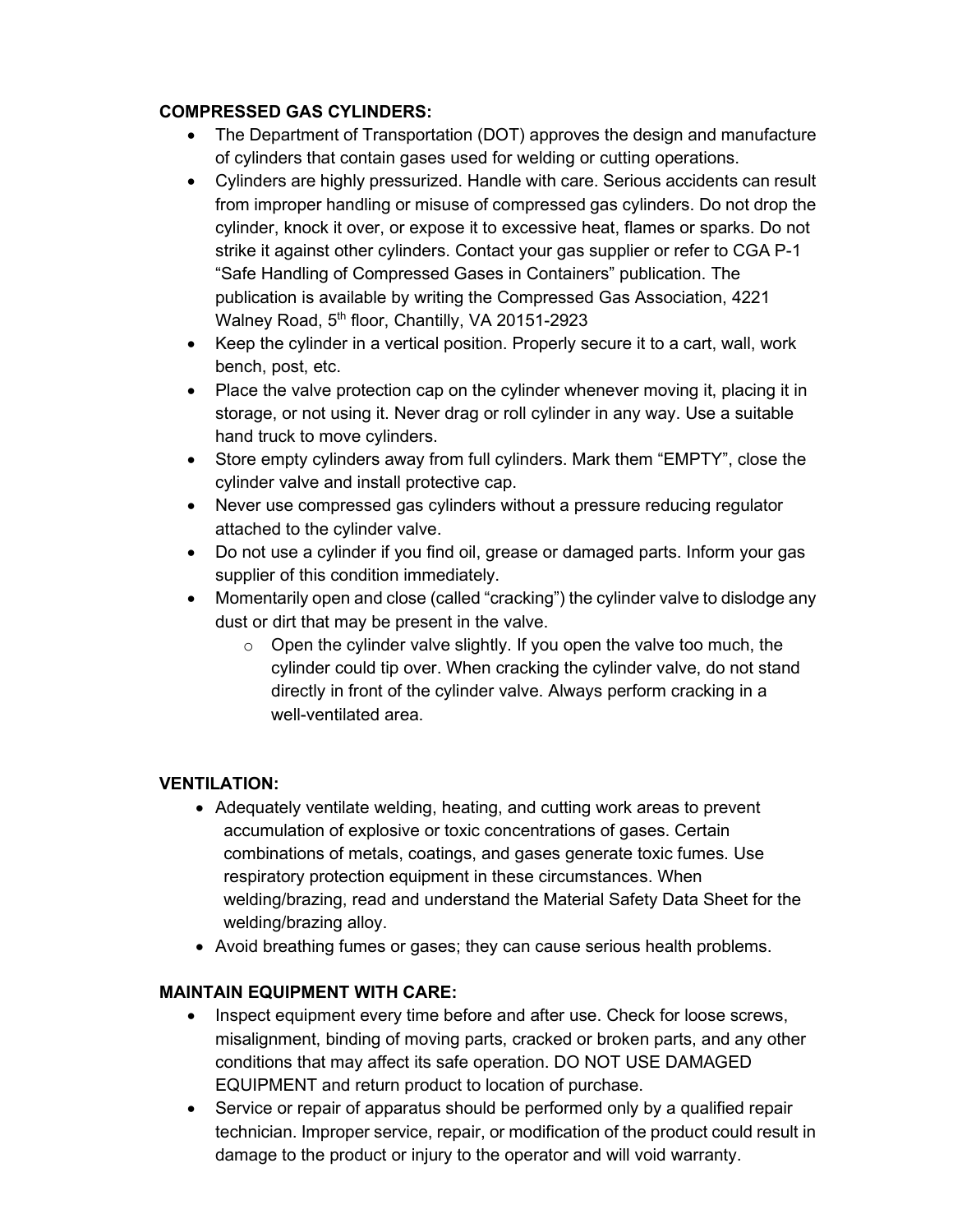#### **COMPRESSED GAS CYLINDERS:**

- The Department of Transportation (DOT) approves the design and manufacture of cylinders that contain gases used for welding or cutting operations.
- Cylinders are highly pressurized. Handle with care. Serious accidents can result from improper handling or misuse of compressed gas cylinders. Do not drop the cylinder, knock it over, or expose it to excessive heat, flames or sparks. Do not strike it against other cylinders. Contact your gas supplier or refer to CGA P-1 "Safe Handling of Compressed Gases in Containers" publication. The publication is available by writing the Compressed Gas Association, 4221 Walney Road, 5<sup>th</sup> floor, Chantilly, VA 20151-2923
- Keep the cylinder in a vertical position. Properly secure it to a cart, wall, work bench, post, etc.
- Place the valve protection cap on the cylinder whenever moving it, placing it in storage, or not using it. Never drag or roll cylinder in any way. Use a suitable hand truck to move cylinders.
- Store empty cylinders away from full cylinders. Mark them "EMPTY", close the cylinder valve and install protective cap.
- Never use compressed gas cylinders without a pressure reducing regulator attached to the cylinder valve.
- Do not use a cylinder if you find oil, grease or damaged parts. Inform your gas supplier of this condition immediately.
- Momentarily open and close (called "cracking") the cylinder valve to dislodge any dust or dirt that may be present in the valve.
	- $\circ$  Open the cylinder valve slightly. If you open the valve too much, the cylinder could tip over. When cracking the cylinder valve, do not stand directly in front of the cylinder valve. Always perform cracking in a well-ventilated area.

#### **VENTILATION:**

- Adequately ventilate welding, heating, and cutting work areas to prevent accumulation of explosive or toxic concentrations of gases. Certain combinations of metals, coatings, and gases generate toxic fumes. Use respiratory protection equipment in these circumstances. When welding/brazing, read and understand the Material Safety Data Sheet for the welding/brazing alloy.
- Avoid breathing fumes or gases; they can cause serious health problems.

#### **MAINTAIN EQUIPMENT WITH CARE:**

- Inspect equipment every time before and after use. Check for loose screws, misalignment, binding of moving parts, cracked or broken parts, and any other conditions that may affect its safe operation. DO NOT USE DAMAGED EQUIPMENT and return product to location of purchase.
- Service or repair of apparatus should be performed only by a qualified repair technician. Improper service, repair, or modification of the product could result in damage to the product or injury to the operator and will void warranty.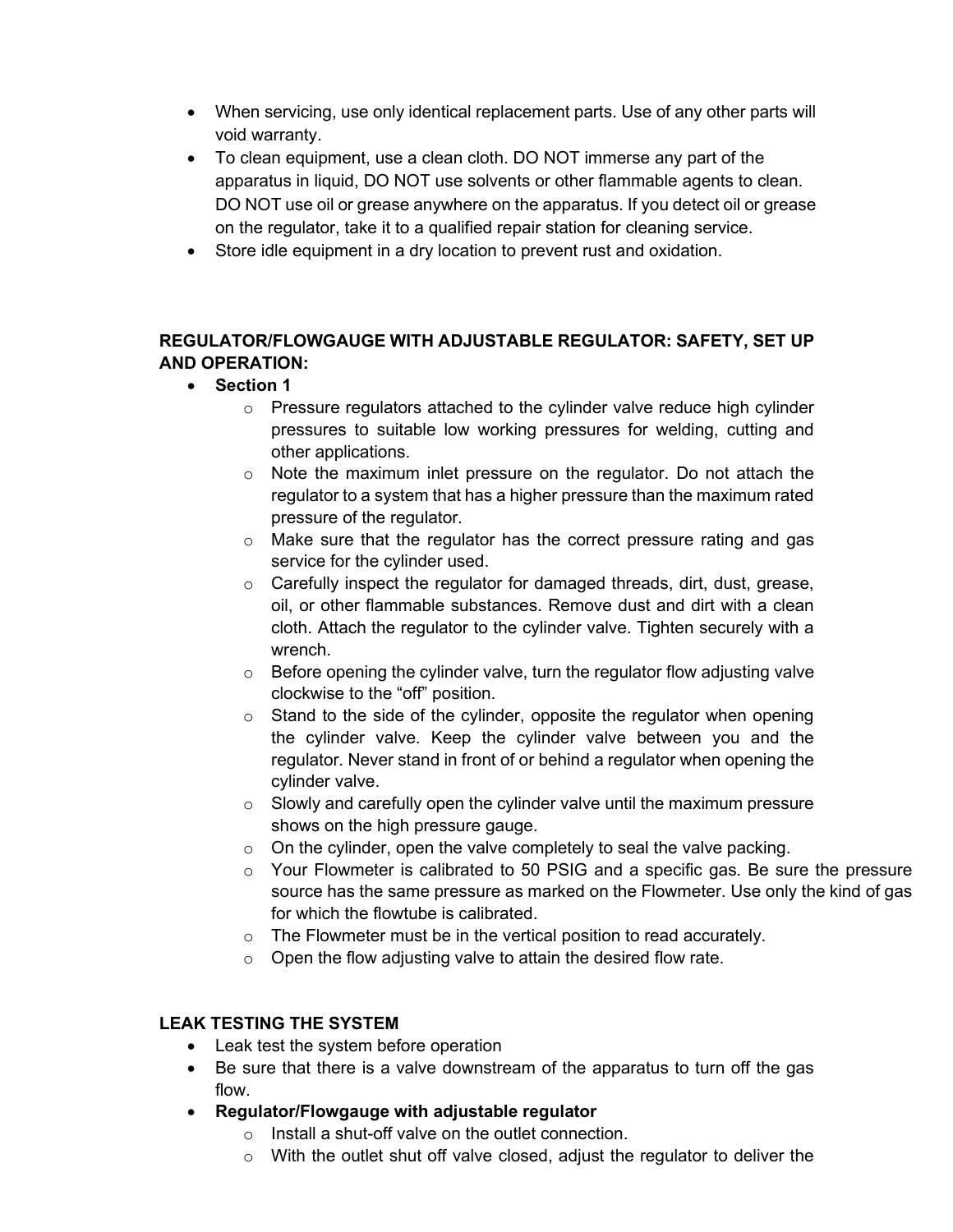- When servicing, use only identical replacement parts. Use of any other parts will void warranty.
- To clean equipment, use a clean cloth. DO NOT immerse any part of the apparatus in liquid, DO NOT use solvents or other flammable agents to clean. DO NOT use oil or grease anywhere on the apparatus. If you detect oil or grease on the regulator, take it to a qualified repair station for cleaning service.
- Store idle equipment in a dry location to prevent rust and oxidation.

#### **REGULATOR/FLOWGAUGE WITH ADJUSTABLE REGULATOR: SAFETY, SET UP AND OPERATION:**

- **Section 1**
	- o Pressure regulators attached to the cylinder valve reduce high cylinder pressures to suitable low working pressures for welding, cutting and other applications.
	- o Note the maximum inlet pressure on the regulator. Do not attach the regulator to a system that has a higher pressure than the maximum rated pressure of the regulator.
	- o Make sure that the regulator has the correct pressure rating and gas service for the cylinder used.
	- o Carefully inspect the regulator for damaged threads, dirt, dust, grease, oil, or other flammable substances. Remove dust and dirt with a clean cloth. Attach the regulator to the cylinder valve. Tighten securely with a wrench.
	- $\circ$  Before opening the cylinder valve, turn the regulator flow adjusting valve clockwise to the "off" position.
	- $\circ$  Stand to the side of the cylinder, opposite the regulator when opening the cylinder valve. Keep the cylinder valve between you and the regulator. Never stand in front of or behind a regulator when opening the cylinder valve.
	- $\circ$  Slowly and carefully open the cylinder valve until the maximum pressure shows on the high pressure gauge.
	- $\circ$  On the cylinder, open the valve completely to seal the valve packing.
	- $\circ$  Your Flowmeter is calibrated to 50 PSIG and a specific gas. Be sure the pressure source has the same pressure as marked on the Flowmeter. Use only the kind of gas for which the flowtube is calibrated.
	- $\circ$  The Flowmeter must be in the vertical position to read accurately.
	- $\circ$  Open the flow adjusting valve to attain the desired flow rate.

#### **LEAK TESTING THE SYSTEM**

- Leak test the system before operation
- Be sure that there is a valve downstream of the apparatus to turn off the gas flow.
- **Regulator/Flowgauge with adjustable regulator**
	- o Install a shut-off valve on the outlet connection.
	- $\circ$  With the outlet shut off valve closed, adjust the regulator to deliver the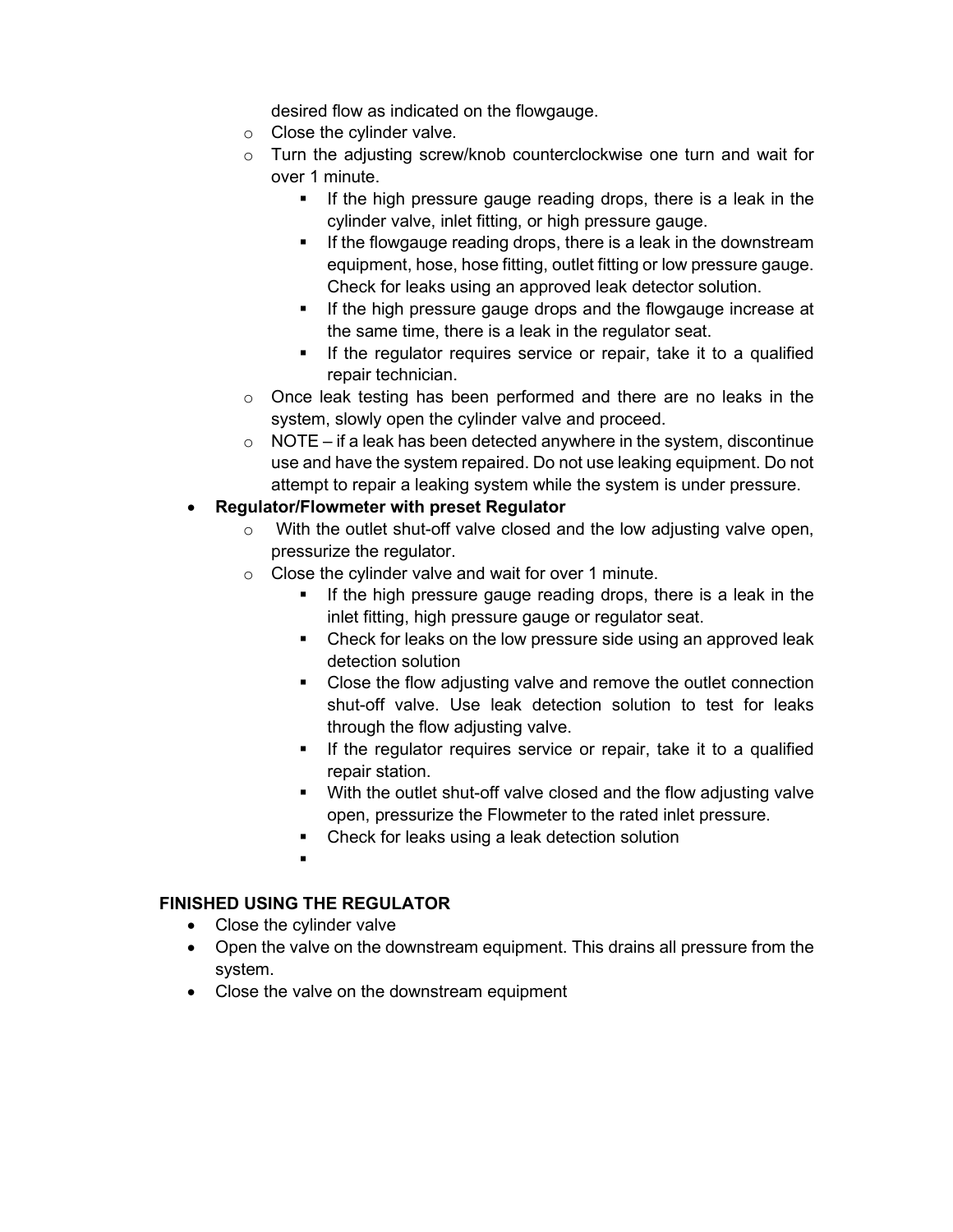desired flow as indicated on the flowgauge.

- $\circ$  Close the cylinder valve.
- $\circ$  Turn the adjusting screw/knob counterclockwise one turn and wait for over 1 minute.
	- If the high pressure gauge reading drops, there is a leak in the cylinder valve, inlet fitting, or high pressure gauge.
	- **If the flowgauge reading drops, there is a leak in the downstream** equipment, hose, hose fitting, outlet fitting or low pressure gauge. Check for leaks using an approved leak detector solution.
	- If the high pressure gauge drops and the flowgauge increase at the same time, there is a leak in the regulator seat.
	- **If the regulator requires service or repair, take it to a qualified** repair technician.
- $\circ$  Once leak testing has been performed and there are no leaks in the system, slowly open the cylinder valve and proceed.
- $\circ$  NOTE if a leak has been detected anywhere in the system, discontinue use and have the system repaired. Do not use leaking equipment. Do not attempt to repair a leaking system while the system is under pressure.

#### • **Regulator/Flowmeter with preset Regulator**

- o With the outlet shut-off valve closed and the low adjusting valve open, pressurize the regulator.
- o Close the cylinder valve and wait for over 1 minute.
	- If the high pressure gauge reading drops, there is a leak in the inlet fitting, high pressure gauge or regulator seat.
	- Check for leaks on the low pressure side using an approved leak detection solution
	- Close the flow adjusting valve and remove the outlet connection shut-off valve. Use leak detection solution to test for leaks through the flow adjusting valve.
	- **If the regulator requires service or repair, take it to a qualified** repair station.
	- With the outlet shut-off valve closed and the flow adjusting valve open, pressurize the Flowmeter to the rated inlet pressure.
	- **EXEC** Check for leaks using a leak detection solution
	- .

#### **FINISHED USING THE REGULATOR**

- Close the cylinder valve
- Open the valve on the downstream equipment. This drains all pressure from the system.
- Close the valve on the downstream equipment